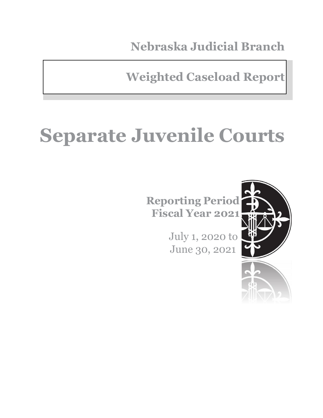**Nebraska Judicial Branch**

**Weighted Caseload Report**

# **Separate Juvenile Courts**

**Reporting Period Fiscal Year 2021**

> July 1, 2020 to June 30, 2021

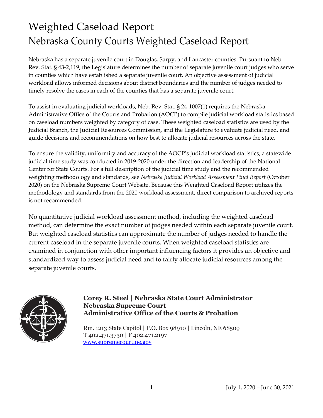### Weighted Caseload Report Nebraska County Courts Weighted Caseload Report

Nebraska has a separate juvenile court in Douglas, Sarpy, and Lancaster counties. Pursuant to Neb. Rev. Stat. § 43-2,119, the Legislature determines the number of separate juvenile court judges who serve in counties which have established a separate juvenile court. An objective assessment of judicial workload allows informed decisions about district boundaries and the number of judges needed to timely resolve the cases in each of the counties that has a separate juvenile court.

To assist in evaluating judicial workloads, Neb. Rev. Stat. § 24-1007(1) requires the Nebraska Administrative Office of the Courts and Probation (AOCP) to compile judicial workload statistics based on caseload numbers weighted by category of case. These weighted caseload statistics are used by the Judicial Branch, the Judicial Resources Commission, and the Legislature to evaluate judicial need, and guide decisions and recommendations on how best to allocate judicial resources across the state.

To ensure the validity, uniformity and accuracy of the AOCP's judicial workload statistics, a statewide judicial time study was conducted in 2019-2020 under the direction and leadership of the National Center for State Courts. For a full description of the judicial time study and the recommended weighting methodology and standards, see *Nebraska Judicial Workload Assessment Final Report* (October 2020) on the Nebraska Supreme Court Website. Because this Weighted Caseload Report utilizes the methodology and standards from the 2020 workload assessment, direct comparison to archived reports is not recommended.

No quantitative judicial workload assessment method, including the weighted caseload method, can determine the exact number of judges needed within each separate juvenile court. But weighted caseload statistics can approximate the number of judges needed to handle the current caseload in the separate juvenile courts. When weighted caseload statistics are examined in conjunction with other important influencing factors it provides an objective and standardized way to assess judicial need and to fairly allocate judicial resources among the separate juvenile courts.



#### **Corey R. Steel | Nebraska State Court Administrator Nebraska Supreme Court Administrative Office of the Courts & Probation**

Rm. 1213 State Capitol | P.O. Box 98910 | Lincoln, NE 68509 T 402.471.3730 | F 402.471.2197 [www.supremecourt.ne.gov](http://www.supremecourt.ne.gov/)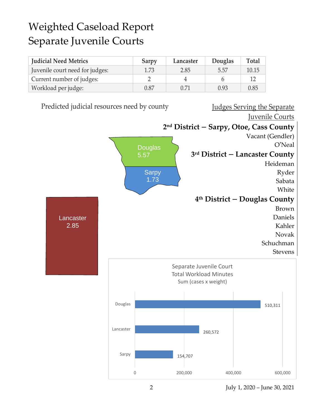### Weighted Caseload Report Separate Juvenile Courts

| <b>Judicial Need Metrics</b>    | Sarpy | Lancaster | Douglas | Total |
|---------------------------------|-------|-----------|---------|-------|
| Juvenile court need for judges: | 1.73  | 2.85      | 5.57    | 10.15 |
| Current number of judges:       |       | $\Delta$  |         |       |
| Workload per judge:             | 0.87  | 0.71      | 0.93    | 0.85  |

Predicted judicial resources need by county Judges Serving the Separate Juvenile Courts **2 nd District – Sarpy, Otoe, Cass County** Vacant (Gendler) O'Neal **3 rd District – Lancaster County** Heideman Ryder Sabata White **4 th District – Douglas County** Brown Daniels Kahler Novak Schuchman Stevens **Douglas** 5.57 Sarpy 1.73 Lancaster 2.85 154,707 260,572 510,311 0 200,000 400,000 600,000 Sarpy Lancaster Douglas Separate Juvenile Court Total Workload Minutes Sum (cases x weight)

2 July 1, 2020 – June 30, 2021